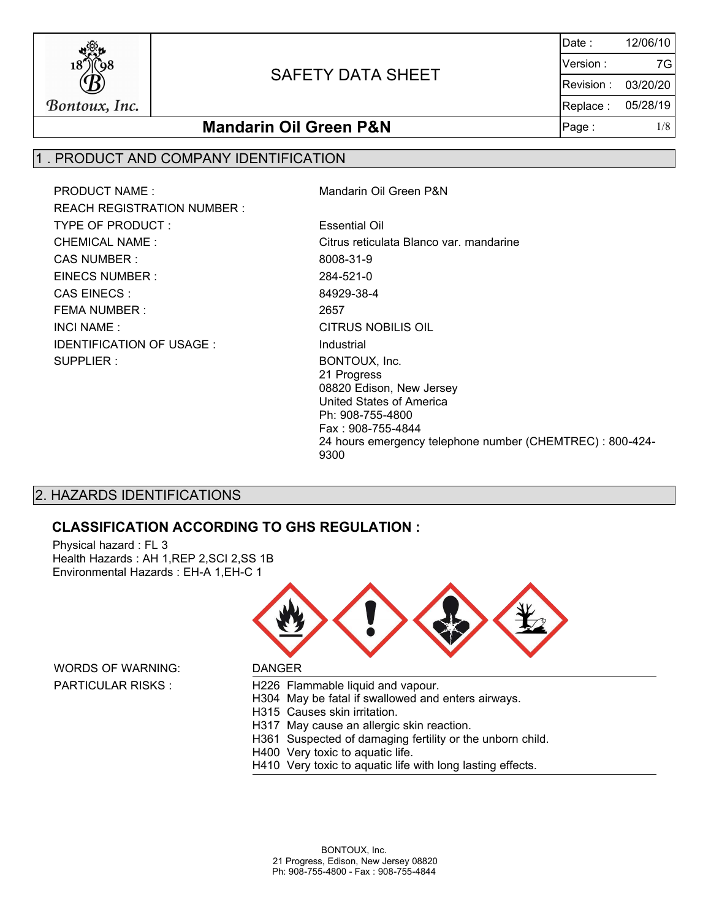

Date : Version : Revision : Replace : Page :  $1/8$ 12/06/10 03/20/20 05/28/19 7G

## **Mandarin Oil Green P&N**

### 1 . PRODUCT AND COMPANY IDENTIFICATION

PRODUCT NAME : Mandarin Oil Green P&N REACH REGISTRATION NUMBER : TYPE OF PRODUCT : Essential Oil CAS NUMBER : 8008-31-9 EINECS NUMBER : 284-521-0 CAS EINECS : 84929-38-4 FEMA NUMBER : 2657 INCI NAME : CITRUS NOBILIS OIL IDENTIFICATION OF USAGE : Industrial SUPPLIER : BONTOUX, Inc.

CHEMICAL NAME : Citrus reticulata Blanco var. mandarine 21 Progress 08820 Edison, New Jersey United States of America Ph: 908-755-4800 Fax : 908-755-4844 24 hours emergency telephone number (CHEMTREC) : 800-424- 9300

## 2. HAZARDS IDENTIFICATIONS

### **CLASSIFICATION ACCORDING TO GHS REGULATION :**

Physical hazard : FL 3 Health Hazards : AH 1,REP 2,SCI 2,SS 1B Environmental Hazards : EH-A 1,EH-C 1



WORDS OF WARNING: DANGER

PARTICULAR RISKS : H226 Flammable liquid and vapour.

H304 May be fatal if swallowed and enters airways.

- H315 Causes skin irritation.
- H317 May cause an allergic skin reaction.
- H361 Suspected of damaging fertility or the unborn child.
- H400 Very toxic to aquatic life.
- H410 Very toxic to aquatic life with long lasting effects.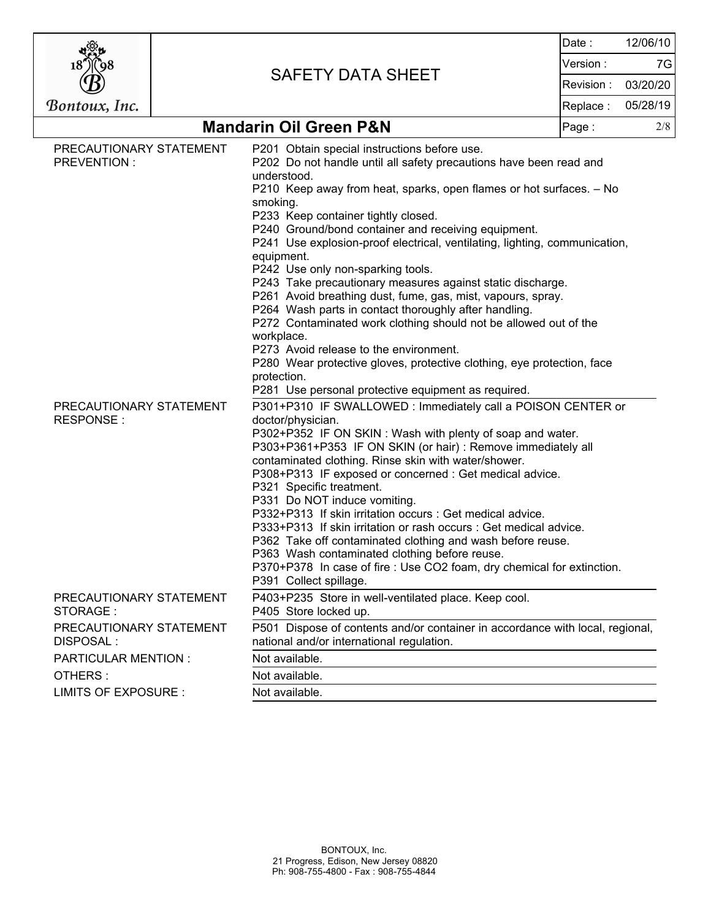|                                                                                                                                                |                |                                                                                                                                                                                                                                                                                                                                                                                                                                                                                                                                                                                                                                                                                                                                                                                                                                                                                                                                                                                                                                                                                                                                                                                                                                                                                                                                                                                                                                                                                                                                                                                                                                                  | Date:     | 12/06/10 |
|------------------------------------------------------------------------------------------------------------------------------------------------|----------------|--------------------------------------------------------------------------------------------------------------------------------------------------------------------------------------------------------------------------------------------------------------------------------------------------------------------------------------------------------------------------------------------------------------------------------------------------------------------------------------------------------------------------------------------------------------------------------------------------------------------------------------------------------------------------------------------------------------------------------------------------------------------------------------------------------------------------------------------------------------------------------------------------------------------------------------------------------------------------------------------------------------------------------------------------------------------------------------------------------------------------------------------------------------------------------------------------------------------------------------------------------------------------------------------------------------------------------------------------------------------------------------------------------------------------------------------------------------------------------------------------------------------------------------------------------------------------------------------------------------------------------------------------|-----------|----------|
|                                                                                                                                                |                | <b>SAFETY DATA SHEET</b>                                                                                                                                                                                                                                                                                                                                                                                                                                                                                                                                                                                                                                                                                                                                                                                                                                                                                                                                                                                                                                                                                                                                                                                                                                                                                                                                                                                                                                                                                                                                                                                                                         | Version : | 7G       |
|                                                                                                                                                |                |                                                                                                                                                                                                                                                                                                                                                                                                                                                                                                                                                                                                                                                                                                                                                                                                                                                                                                                                                                                                                                                                                                                                                                                                                                                                                                                                                                                                                                                                                                                                                                                                                                                  |           | 03/20/20 |
| Bontoux, Inc.                                                                                                                                  |                |                                                                                                                                                                                                                                                                                                                                                                                                                                                                                                                                                                                                                                                                                                                                                                                                                                                                                                                                                                                                                                                                                                                                                                                                                                                                                                                                                                                                                                                                                                                                                                                                                                                  |           | 05/28/19 |
|                                                                                                                                                |                | <b>Mandarin Oil Green P&amp;N</b>                                                                                                                                                                                                                                                                                                                                                                                                                                                                                                                                                                                                                                                                                                                                                                                                                                                                                                                                                                                                                                                                                                                                                                                                                                                                                                                                                                                                                                                                                                                                                                                                                | Page:     | 2/8      |
| PRECAUTIONARY STATEMENT<br>PREVENTION :<br>PRECAUTIONARY STATEMENT<br>RESPONSE:                                                                |                | P201 Obtain special instructions before use.<br>P202 Do not handle until all safety precautions have been read and<br>understood.<br>P210 Keep away from heat, sparks, open flames or hot surfaces. - No<br>smoking.<br>P233 Keep container tightly closed.<br>P240 Ground/bond container and receiving equipment.<br>P241 Use explosion-proof electrical, ventilating, lighting, communication,<br>equipment.<br>P242 Use only non-sparking tools.<br>P243 Take precautionary measures against static discharge.<br>P261 Avoid breathing dust, fume, gas, mist, vapours, spray.<br>P264 Wash parts in contact thoroughly after handling.<br>P272 Contaminated work clothing should not be allowed out of the<br>workplace.<br>P273 Avoid release to the environment.<br>P280 Wear protective gloves, protective clothing, eye protection, face<br>protection.<br>P281 Use personal protective equipment as required.<br>P301+P310 IF SWALLOWED: Immediately call a POISON CENTER or<br>doctor/physician.<br>P302+P352 IF ON SKIN: Wash with plenty of soap and water.<br>P303+P361+P353 IF ON SKIN (or hair) : Remove immediately all<br>contaminated clothing. Rinse skin with water/shower.<br>P308+P313 IF exposed or concerned : Get medical advice.<br>P321 Specific treatment.<br>P331 Do NOT induce vomiting.<br>P332+P313 If skin irritation occurs : Get medical advice.<br>P333+P313 If skin irritation or rash occurs : Get medical advice.<br>P362 Take off contaminated clothing and wash before reuse.<br>P363 Wash contaminated clothing before reuse.<br>P370+P378 In case of fire : Use CO2 foam, dry chemical for extinction. |           |          |
| P391 Collect spillage.<br>P403+P235 Store in well-ventilated place. Keep cool.<br>PRECAUTIONARY STATEMENT<br>STORAGE:<br>P405 Store locked up. |                |                                                                                                                                                                                                                                                                                                                                                                                                                                                                                                                                                                                                                                                                                                                                                                                                                                                                                                                                                                                                                                                                                                                                                                                                                                                                                                                                                                                                                                                                                                                                                                                                                                                  |           |          |
| PRECAUTIONARY STATEMENT<br><b>DISPOSAL:</b>                                                                                                    |                | P501 Dispose of contents and/or container in accordance with local, regional,<br>national and/or international regulation.                                                                                                                                                                                                                                                                                                                                                                                                                                                                                                                                                                                                                                                                                                                                                                                                                                                                                                                                                                                                                                                                                                                                                                                                                                                                                                                                                                                                                                                                                                                       |           |          |
| Not available.<br><b>PARTICULAR MENTION:</b>                                                                                                   |                |                                                                                                                                                                                                                                                                                                                                                                                                                                                                                                                                                                                                                                                                                                                                                                                                                                                                                                                                                                                                                                                                                                                                                                                                                                                                                                                                                                                                                                                                                                                                                                                                                                                  |           |          |
| OTHERS:                                                                                                                                        | Not available. |                                                                                                                                                                                                                                                                                                                                                                                                                                                                                                                                                                                                                                                                                                                                                                                                                                                                                                                                                                                                                                                                                                                                                                                                                                                                                                                                                                                                                                                                                                                                                                                                                                                  |           |          |
| LIMITS OF EXPOSURE :                                                                                                                           |                | Not available.                                                                                                                                                                                                                                                                                                                                                                                                                                                                                                                                                                                                                                                                                                                                                                                                                                                                                                                                                                                                                                                                                                                                                                                                                                                                                                                                                                                                                                                                                                                                                                                                                                   |           |          |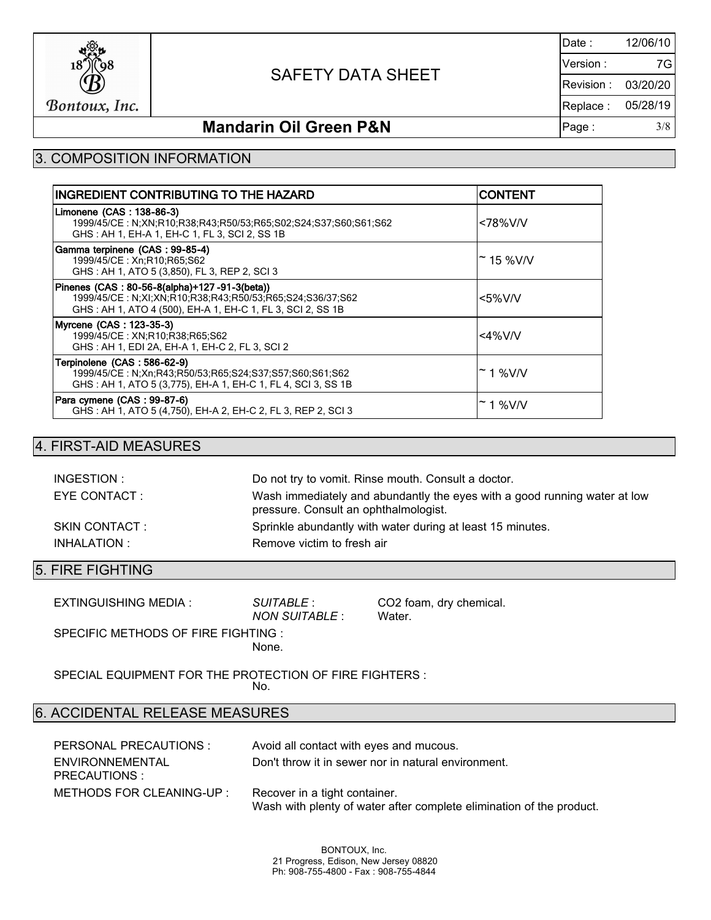

Date : Version : Revision : Replace : Page : 3/8 12/06/10 03/20/20 05/28/19 7G

## **Mandarin Oil Green P&N**

## 3. COMPOSITION INFORMATION

| INGREDIENT CONTRIBUTING TO THE HAZARD                                                                                                                                   | ICONTENT            |
|-------------------------------------------------------------------------------------------------------------------------------------------------------------------------|---------------------|
| Limonene (CAS: 138-86-3)<br>1999/45/CE: N;XN;R10;R38;R43;R50/53;R65;S02;S24;S37;S60;S61;S62<br>GHS: AH 1, EH-A 1, EH-C 1, FL 3, SCI 2, SS 1B                            | <78%V/V             |
| Gamma terpinene (CAS: 99-85-4)<br>1999/45/CE: Xn;R10;R65;S62<br>GHS: AH 1, ATO 5 (3,850), FL 3, REP 2, SCI 3                                                            | $~^{\sim}$ 15 %V/V  |
| Pinenes (CAS: 80-56-8(alpha)+127-91-3(beta))<br>1999/45/CE: N;XI;XN;R10;R38;R43;R50/53;R65;S24;S36/37;S62<br>GHS: AH 1, ATO 4 (500), EH-A 1, EH-C 1, FL 3, SCI 2, SS 1B | $<$ 5%V/V           |
| Myrcene (CAS: 123-35-3)<br>1999/45/CE: XN:R10:R38:R65:S62<br>GHS: AH 1, EDI 2A, EH-A 1, EH-C 2, FL 3, SCI 2                                                             | $<4\%$ V/V          |
| Terpinolene (CAS: 586-62-9)<br>1999/45/CE: N;Xn;R43;R50/53;R65;S24;S37;S57;S60;S61;S62<br>GHS: AH 1, ATO 5 (3,775), EH-A 1, EH-C 1, FL 4, SCI 3, SS 1B                  | $~\tilde{}$ 1 %V/V  |
| Para cymene (CAS: 99-87-6)<br>GHS: AH 1, ATO 5 (4,750), EH-A 2, EH-C 2, FL 3, REP 2, SCI 3                                                                              | <sup>∼</sup> 1 %V/V |

### 4. FIRST-AID MEASURES

| INGESTION :    | Do not try to vomit. Rinse mouth. Consult a doctor.                                                                |
|----------------|--------------------------------------------------------------------------------------------------------------------|
| EYE CONTACT:   | Wash immediately and abundantly the eyes with a good running water at low<br>pressure. Consult an ophthalmologist. |
| SKIN CONTACT : | Sprinkle abundantly with water during at least 15 minutes.                                                         |
| INHALATION :   | Remove victim to fresh air                                                                                         |

### 5. FIRE FIGHTING

| EXTINGUISHING MEDIA :              | SUITABLE :<br>NON SUITABLE : | CO2 foam, dry chemical.<br>Water. |
|------------------------------------|------------------------------|-----------------------------------|
| SPECIFIC METHODS OF FIRE FIGHTING: |                              |                                   |
|                                    | None.                        |                                   |

SPECIAL EQUIPMENT FOR THE PROTECTION OF FIRE FIGHTERS : No.

## 6. ACCIDENTAL RELEASE MEASURES

| PERSONAL PRECAUTIONS :           | Avoid all contact with eyes and mucous.                                                               |
|----------------------------------|-------------------------------------------------------------------------------------------------------|
| ENVIRONNEMENTAL<br>PRECAUTIONS : | Don't throw it in sewer nor in natural environment.                                                   |
| METHODS FOR CLEANING-UP :        | Recover in a tight container.<br>Wash with plenty of water after complete elimination of the product. |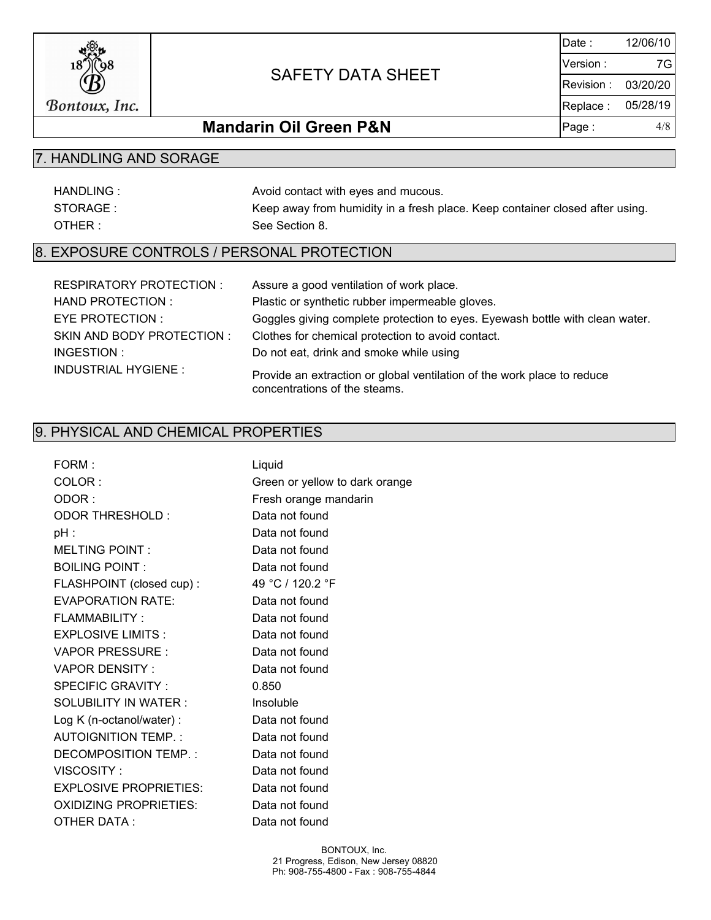

Date : Version : Revision : Replace : Page : 4/8 12/06/10 03/20/20 05/28/19 7G

## **Mandarin Oil Green P&N**

## 7. HANDLING AND SORAGE

| HANDLING: | Avoid contact with eyes and mucous.                                          |
|-----------|------------------------------------------------------------------------------|
| STORAGE:  | Keep away from humidity in a fresh place. Keep container closed after using. |
| OTHER:    | See Section 8.                                                               |

## 8. EXPOSURE CONTROLS / PERSONAL PROTECTION

| RESPIRATORY PROTECTION :   | Assure a good ventilation of work place.                                                                 |
|----------------------------|----------------------------------------------------------------------------------------------------------|
| HAND PROTECTION :          | Plastic or synthetic rubber impermeable gloves.                                                          |
| EYE PROTECTION :           | Goggles giving complete protection to eyes. Eyewash bottle with clean water.                             |
| SKIN AND BODY PROTECTION:  | Clothes for chemical protection to avoid contact.                                                        |
| INGESTION :                | Do not eat, drink and smoke while using                                                                  |
| <b>INDUSTRIAL HYGIENE:</b> | Provide an extraction or global ventilation of the work place to reduce<br>concentrations of the steams. |

## 9. PHYSICAL AND CHEMICAL PROPERTIES

| FORM:                         | Liquid                         |
|-------------------------------|--------------------------------|
| COLOR:                        | Green or yellow to dark orange |
| ODOR:                         | Fresh orange mandarin          |
| ODOR THRESHOLD :              | Data not found                 |
| $pH$ :                        | Data not found                 |
| <b>MELTING POINT:</b>         | Data not found                 |
| <b>BOILING POINT:</b>         | Data not found                 |
| FLASHPOINT (closed cup) :     | 49 °C / 120.2 °F               |
| <b>EVAPORATION RATE:</b>      | Data not found                 |
| FLAMMABILITY:                 | Data not found                 |
| <b>EXPLOSIVE LIMITS:</b>      | Data not found                 |
| VAPOR PRESSURE :              | Data not found                 |
| VAPOR DENSITY:                | Data not found                 |
| SPECIFIC GRAVITY:             | 0.850                          |
| SOLUBILITY IN WATER:          | Insoluble                      |
| Log K (n-octanol/water) :     | Data not found                 |
| AUTOIGNITION TEMP.:           | Data not found                 |
| DECOMPOSITION TEMP.:          | Data not found                 |
| VISCOSITY:                    | Data not found                 |
| <b>EXPLOSIVE PROPRIETIES:</b> | Data not found                 |
| <b>OXIDIZING PROPRIETIES:</b> | Data not found                 |
| OTHER DATA:                   | Data not found                 |
|                               |                                |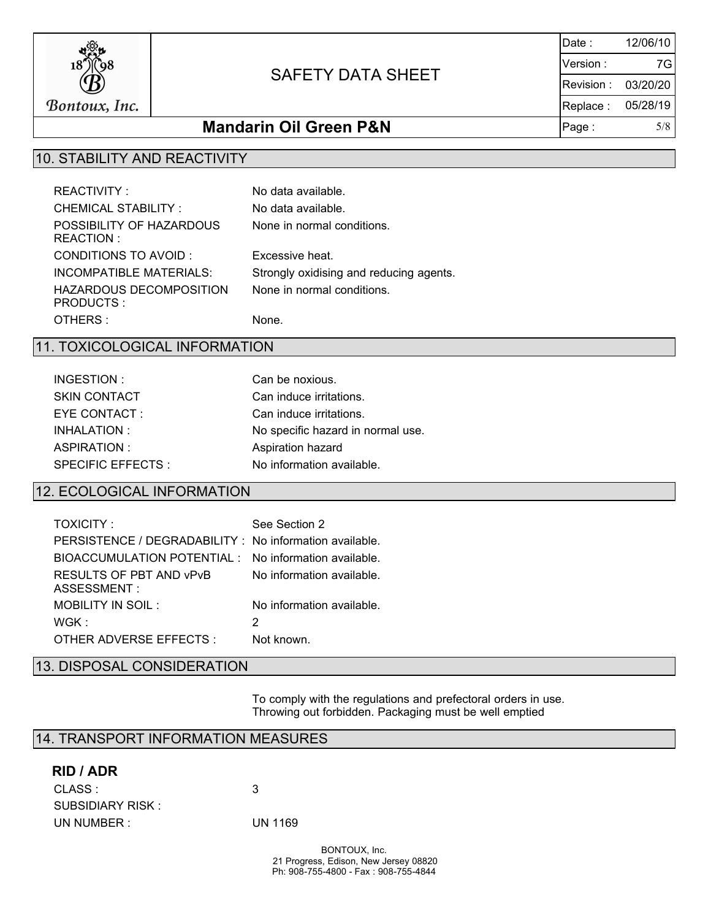

Date : Version : Revision : Replace : Page : 5/8 12/06/10 03/20/20 05/28/19 7G

## **Mandarin Oil Green P&N**

## 10. STABILITY AND REACTIVITY

| <b>REACTIVITY:</b>                    | No data available.                      |
|---------------------------------------|-----------------------------------------|
| <b>CHEMICAL STABILITY:</b>            | No data available.                      |
| POSSIBILITY OF HAZARDOUS<br>REACTION: | None in normal conditions.              |
| CONDITIONS TO AVOID :                 | Excessive heat.                         |
| INCOMPATIBLE MATERIALS:               | Strongly oxidising and reducing agents. |
| HAZARDOUS DECOMPOSITION<br>PRODUCTS:  | None in normal conditions.              |
| OTHERS :                              | None.                                   |

#### 11. TOXICOLOGICAL INFORMATION

| INGESTION:          | Can be noxious.                   |
|---------------------|-----------------------------------|
| <b>SKIN CONTACT</b> | Can induce irritations.           |
| EYE CONTACT:        | Can induce irritations.           |
| INHALATION:         | No specific hazard in normal use. |
| ASPIRATION:         | Aspiration hazard                 |
| SPECIFIC EFFECTS :  | No information available.         |

## 12. ECOLOGICAL INFORMATION

| TOXICITY:                                               | See Section 2             |
|---------------------------------------------------------|---------------------------|
| PERSISTENCE / DEGRADABILITY : No information available. |                           |
| BIOACCUMULATION POTENTIAL: No information available.    |                           |
| RESULTS OF PBT AND VPVB<br>ASSESSMENT:                  | No information available. |
| MOBILITY IN SOIL:                                       | No information available  |
| WGK :                                                   | 2                         |
| OTHER ADVERSE EFFECTS :                                 | Not known                 |
|                                                         |                           |

## 13. DISPOSAL CONSIDERATION

 To comply with the regulations and prefectoral orders in use. Throwing out forbidden. Packaging must be well emptied

### 14. TRANSPORT INFORMATION MEASURES

#### **RID / ADR**

| CLASS :           | -3      |
|-------------------|---------|
| SUBSIDIARY RISK : |         |
| UN NUMBER :       | UN 1169 |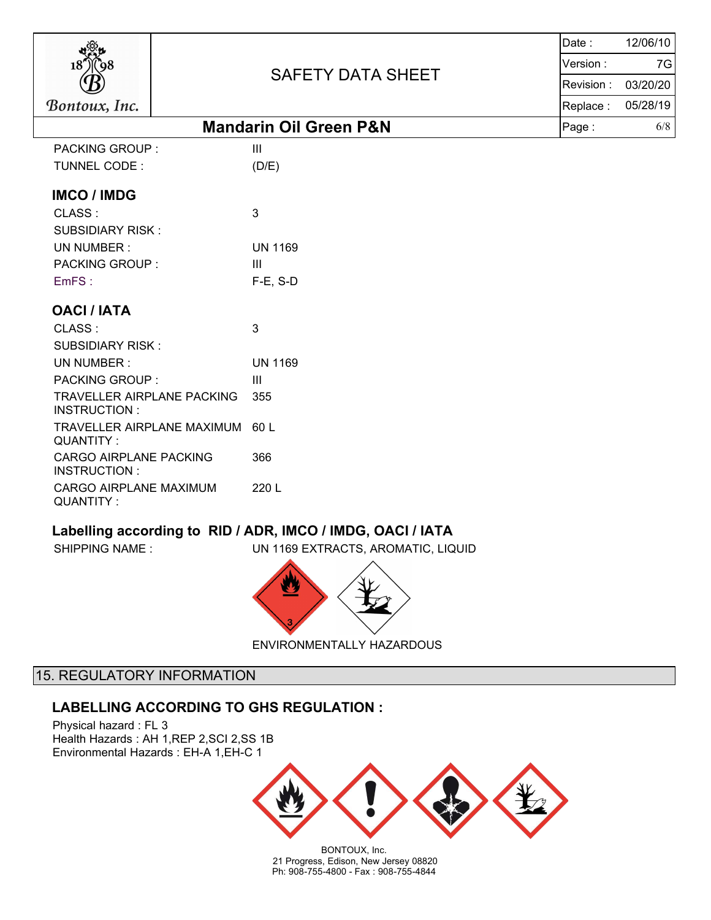

Date : Version : Revision : Replace : Page : 6/8 12/06/10 03/20/20 05/28/19 7G

# **Mandarin Oil Green P&N**

| <b>PACKING GROUP:</b>                      | Ш              |
|--------------------------------------------|----------------|
| TUNNEL CODE:                               | (D/E)          |
| <b>IMCO / IMDG</b>                         |                |
| CLASS:                                     | 3              |
| SUBSIDIARY RISK:                           |                |
| UN NUMBER:                                 | UN 1169        |
| PACKING GROUP:                             | Ш              |
| EmFS:                                      | $F-E$ , S-D    |
| <b>OACI / IATA</b>                         |                |
| CLASS:                                     | 3              |
| <b>SUBSIDIARY RISK:</b>                    |                |
| UN NUMBER:                                 | <b>UN 1169</b> |
| PACKING GROUP:                             | Ш              |
| TRAVELLER AIRPLANE PACKING<br>INSTRUCTION: | 355            |
| TRAVELLER AIRPLANE MAXIMUM<br>QUANTITY:    | 60 L           |
| CARGO AIRPLANE PACKING<br>INSTRUCTION:     | 366            |
| CARGO AIRPLANE MAXIMUM<br>QUANTITY :       | 220 L          |

### **Labelling according to RID / ADR, IMCO / IMDG, OACI / IATA**

SHIPPING NAME : UN 1169 EXTRACTS, AROMATIC, LIQUID



ENVIRONMENTALLY HAZARDOUS

## 15. REGULATORY INFORMATION

### **LABELLING ACCORDING TO GHS REGULATION :**

Physical hazard : FL 3 Health Hazards : AH 1,REP 2,SCI 2,SS 1B Environmental Hazards : EH-A 1,EH-C 1



BONTOUX, Inc. 21 Progress, Edison, New Jersey 08820 Ph: 908-755-4800 - Fax : 908-755-4844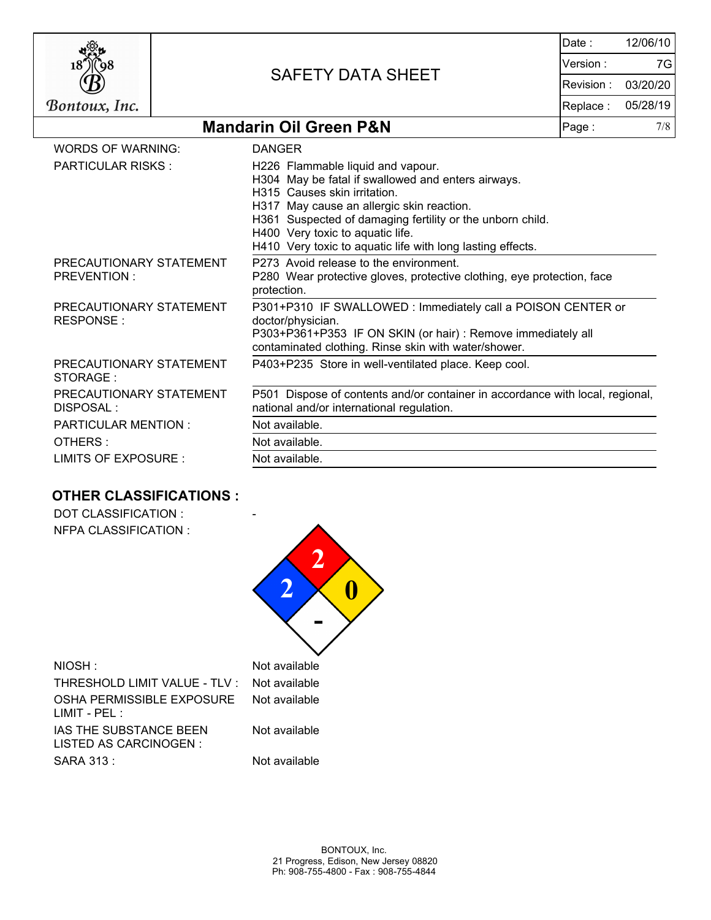

Date : Version : Revision : Replace : Page : 7/8 12/06/10 03/20/20 05/28/19 7G

## **Mandarin Oil Green P&N**

| WORDS OF WARNING:                             | <b>DANGER</b>                                                                                                                                                                                                                                                                                                                       |
|-----------------------------------------------|-------------------------------------------------------------------------------------------------------------------------------------------------------------------------------------------------------------------------------------------------------------------------------------------------------------------------------------|
| <b>PARTICULAR RISKS:</b>                      | H226 Flammable liquid and vapour.<br>H304 May be fatal if swallowed and enters airways.<br>H315 Causes skin irritation.<br>H317 May cause an allergic skin reaction.<br>H361 Suspected of damaging fertility or the unborn child.<br>H400 Very toxic to aquatic life.<br>H410 Very toxic to aquatic life with long lasting effects. |
| PRECAUTIONARY STATEMENT<br><b>PREVENTION:</b> | P273 Avoid release to the environment.<br>P280 Wear protective gloves, protective clothing, eye protection, face<br>protection.                                                                                                                                                                                                     |
| PRECAUTIONARY STATEMENT<br>RESPONSE:          | P301+P310 IF SWALLOWED: Immediately call a POISON CENTER or<br>doctor/physician.<br>P303+P361+P353 IF ON SKIN (or hair) : Remove immediately all<br>contaminated clothing. Rinse skin with water/shower.                                                                                                                            |
| PRECAUTIONARY STATEMENT<br>STORAGE:           | P403+P235 Store in well-ventilated place. Keep cool.                                                                                                                                                                                                                                                                                |
| PRECAUTIONARY STATEMENT<br>DISPOSAL :         | P501 Dispose of contents and/or container in accordance with local, regional,<br>national and/or international regulation.                                                                                                                                                                                                          |
| <b>PARTICULAR MENTION:</b>                    | Not available.                                                                                                                                                                                                                                                                                                                      |
| OTHERS:                                       | Not available.                                                                                                                                                                                                                                                                                                                      |
| LIMITS OF EXPOSURE :                          | Not available.                                                                                                                                                                                                                                                                                                                      |

## **OTHER CLASSIFICATIONS :**

DOT CLASSIFICATION : NFPA CLASSIFICATION :

|               | Not available |  |
|---------------|---------------|--|
| $\cdot$ TLV : | Not available |  |
| <b>SURE</b>   | Not available |  |
|               |               |  |

 $NIOSH:$ 

THRESHOLD LIMIT VALUE -OSHA PERMISSIBLE EXPOS LIMIT - PEL : IAS THE SUBSTANCE BEEN LISTED AS CARCINOGEN : SARA 313 : Not available

Not available